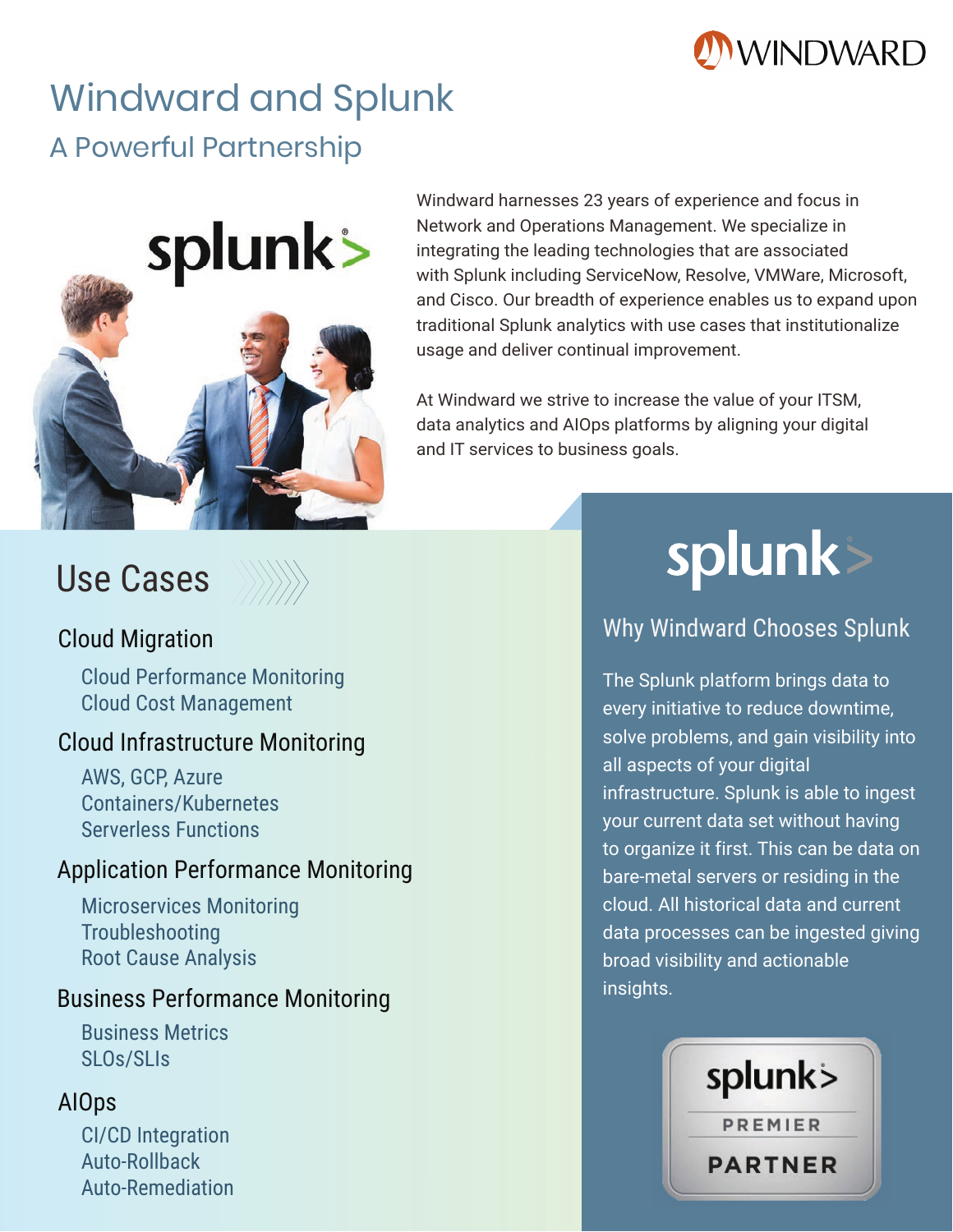

# Windward and Splunk A Powerful Partnership



Windward harnesses 23 years of experience and focus in Network and Operations Management. We specialize in integrating the leading technologies that are associated with Splunk including ServiceNow, Resolve, VMWare, Microsoft, and Cisco. Our breadth of experience enables us to expand upon traditional Splunk analytics with use cases that institutionalize usage and deliver continual improvement.

At Windward we strive to increase the value of your ITSM, data analytics and AIOps platforms by aligning your digital and IT services to business goals.

## Use Cases



#### Cloud Migration

Cloud Performance Monitoring Cloud Cost Management

#### Cloud Infrastructure Monitoring

AWS, GCP, Azure Containers/Kubernetes Serverless Functions

#### Application Performance Monitoring

Microservices Monitoring Troubleshooting Root Cause Analysis

#### Business Performance Monitoring

Business Metrics SLOs/SLIs

#### AIOps

CI/CD Integration Auto-Rollback Auto-Remediation

# splunk>

### Why Windward Chooses Splunk

The Splunk platform brings data to every initiative to reduce downtime, solve problems, and gain visibility into all aspects of your digital infrastructure. Splunk is able to ingest your current data set without having to organize it first. This can be data on bare-metal servers or residing in the cloud. All historical data and current data processes can be ingested giving broad visibility and actionable insights.